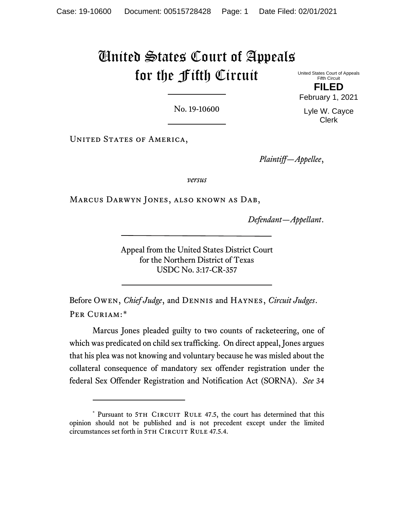# United States Court of Appeals for the Fifth Circuit

United States Court of Appeals Fifth Circuit **FILED** February 1, 2021

Lyle W. Cayce Clerk

No. 19-10600

UNITED STATES OF AMERICA,

*Plaintiff—Appellee*,

*versus*

Marcus Darwyn Jones, also known as Dab,

*Defendant—Appellant*.

Appeal from the United States District Court for the Northern District of Texas USDC No. 3:17-CR-357

Before Owen, *Chief Judge*, and Dennis and Haynes, *Circuit Judges*. PER CURIAM:[\\*](#page-0-0)

Marcus Jones pleaded guilty to two counts of racketeering, one of which was predicated on child sex trafficking. On direct appeal, Jones argues that his plea was not knowing and voluntary because he was misled about the collateral consequence of mandatory sex offender registration under the federal Sex Offender Registration and Notification Act (SORNA). *See* 34

<span id="page-0-0"></span><sup>\*</sup> Pursuant to 5TH CIRCUIT RULE 47.5, the court has determined that this opinion should not be published and is not precedent except under the limited circumstances set forth in 5TH CIRCUIT RULE 47.5.4.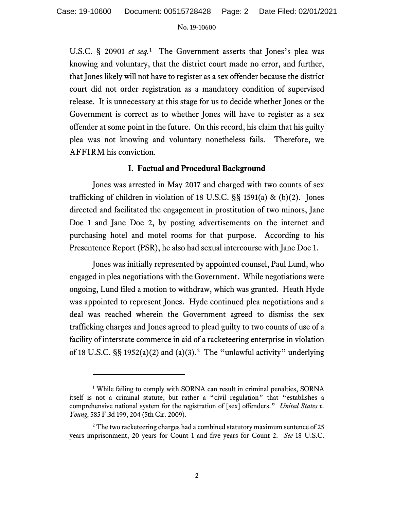U.S.C. § 20901 *et seq.*[1](#page-1-0) The Government asserts that Jones's plea was knowing and voluntary, that the district court made no error, and further, that Jones likely will not have to register as a sex offender because the district court did not order registration as a mandatory condition of supervised release. It is unnecessary at this stage for us to decide whether Jones or the Government is correct as to whether Jones will have to register as a sex offender at some point in the future. On this record, his claim that his guilty plea was not knowing and voluntary nonetheless fails. Therefore, we AFFIRM his conviction.

## **I. Factual and Procedural Background**

Jones was arrested in May 2017 and charged with two counts of sex trafficking of children in violation of 18 U.S.C.  $\S$ § 1591(a) & (b)(2). Jones directed and facilitated the engagement in prostitution of two minors, Jane Doe 1 and Jane Doe 2, by posting advertisements on the internet and purchasing hotel and motel rooms for that purpose. According to his Presentence Report (PSR), he also had sexual intercourse with Jane Doe 1.

Jones was initially represented by appointed counsel, Paul Lund, who engaged in plea negotiations with the Government. While negotiations were ongoing, Lund filed a motion to withdraw, which was granted. Heath Hyde was appointed to represent Jones. Hyde continued plea negotiations and a deal was reached wherein the Government agreed to dismiss the sex trafficking charges and Jones agreed to plead guilty to two counts of use of a facility of interstate commerce in aid of a racketeering enterprise in violation of 18 U.S.C. §§ 1952(a)(2) and (a)(3).<sup>2</sup> The "unlawful activity" underlying

<span id="page-1-0"></span><sup>&</sup>lt;sup>1</sup> While failing to comply with SORNA can result in criminal penalties, SORNA itself is not a criminal statute, but rather a "civil regulation" that "establishes a comprehensive national system for the registration of [sex] offenders." *United States v. Young*, 585 F.3d 199, 204 (5th Cir. 2009).

<span id="page-1-1"></span><sup>&</sup>lt;sup>2</sup> The two racketeering charges had a combined statutory maximum sentence of 25 years imprisonment, 20 years for Count 1 and five years for Count 2. *See* 18 U.S.C.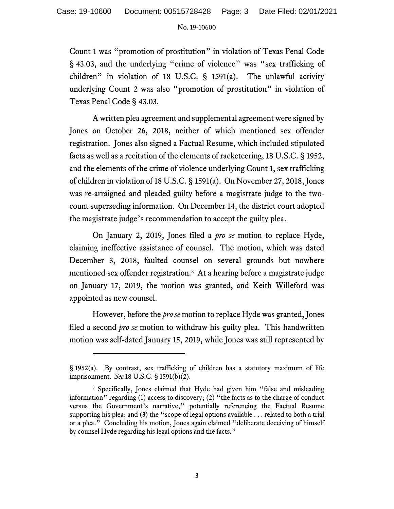Count 1 was "promotion of prostitution" in violation of Texas Penal Code § 43.03, and the underlying "crime of violence" was "sex trafficking of children" in violation of 18 U.S.C. § 1591(a). The unlawful activity underlying Count 2 was also "promotion of prostitution" in violation of Texas Penal Code § 43.03.

A written plea agreement and supplemental agreement were signed by Jones on October 26, 2018, neither of which mentioned sex offender registration. Jones also signed a Factual Resume, which included stipulated facts as well as a recitation of the elements of racketeering, 18 U.S.C. § 1952, and the elements of the crime of violence underlying Count 1, sex trafficking of children in violation of 18 U.S.C. § 1591(a). On November 27, 2018, Jones was re-arraigned and pleaded guilty before a magistrate judge to the twocount superseding information. On December 14, the district court adopted the magistrate judge's recommendation to accept the guilty plea.

On January 2, 2019, Jones filed a *pro se* motion to replace Hyde, claiming ineffective assistance of counsel. The motion, which was dated December 3, 2018, faulted counsel on several grounds but nowhere mentioned sex offender registration.<sup>3</sup> At a hearing before a magistrate judge on January 17, 2019, the motion was granted, and Keith Willeford was appointed as new counsel.

However, before the *pro se* motion to replace Hyde was granted, Jones filed a second *pro se* motion to withdraw his guilty plea. This handwritten motion was self-dated January 15, 2019, while Jones was still represented by

<sup>§</sup> 1952(a). By contrast, sex trafficking of children has a statutory maximum of life imprisonment. *See* 18 U.S.C. § 1591(b)(2).

<span id="page-2-0"></span><sup>&</sup>lt;sup>3</sup> Specifically, Jones claimed that Hyde had given him "false and misleading information" regarding (1) access to discovery; (2) "the facts as to the charge of conduct versus the Government's narrative," potentially referencing the Factual Resume supporting his plea; and (3) the "scope of legal options available . . . related to both a trial or a plea." Concluding his motion, Jones again claimed "deliberate deceiving of himself by counsel Hyde regarding his legal options and the facts."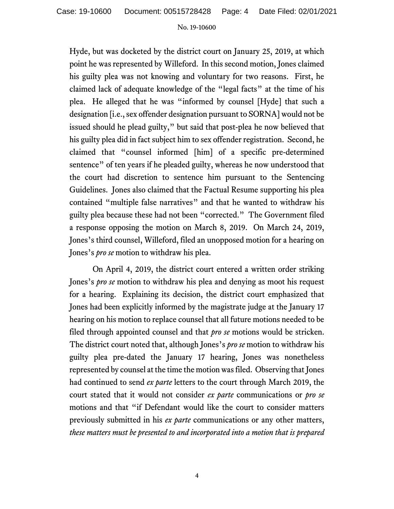Hyde, but was docketed by the district court on January 25, 2019, at which point he was represented by Willeford. In this second motion, Jones claimed his guilty plea was not knowing and voluntary for two reasons. First, he claimed lack of adequate knowledge of the "legal facts" at the time of his plea. He alleged that he was "informed by counsel [Hyde] that such a designation [i.e., sex offender designation pursuant to SORNA] would not be issued should he plead guilty," but said that post-plea he now believed that his guilty plea did in fact subject him to sex offender registration. Second, he claimed that "counsel informed [him] of a specific pre-determined sentence" of ten years if he pleaded guilty, whereas he now understood that the court had discretion to sentence him pursuant to the Sentencing Guidelines. Jones also claimed that the Factual Resume supporting his plea contained "multiple false narratives" and that he wanted to withdraw his guilty plea because these had not been "corrected." The Government filed a response opposing the motion on March 8, 2019. On March 24, 2019, Jones's third counsel, Willeford, filed an unopposed motion for a hearing on Jones's *pro se* motion to withdraw his plea.

On April 4, 2019, the district court entered a written order striking Jones's *pro se* motion to withdraw his plea and denying as moot his request for a hearing. Explaining its decision, the district court emphasized that Jones had been explicitly informed by the magistrate judge at the January 17 hearing on his motion to replace counsel that all future motions needed to be filed through appointed counsel and that *pro se* motions would be stricken. The district court noted that, although Jones's *pro se* motion to withdraw his guilty plea pre-dated the January 17 hearing, Jones was nonetheless represented by counsel at the time the motion was filed. Observing that Jones had continued to send *ex parte* letters to the court through March 2019, the court stated that it would not consider *ex parte* communications or *pro se* motions and that "if Defendant would like the court to consider matters previously submitted in his *ex parte* communications or any other matters, *these matters must be presented to and incorporated into a motion that is prepared*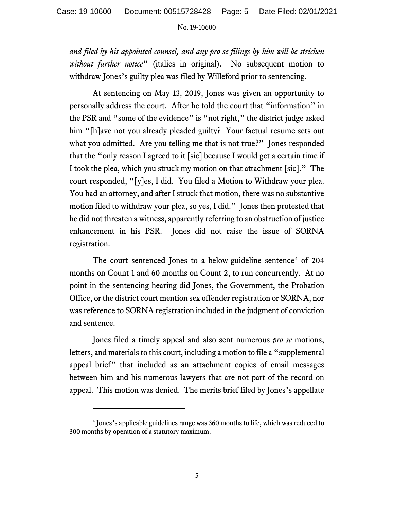*and filed by his appointed counsel, and any pro se filings by him will be stricken without further notice*" (italics in original). No subsequent motion to withdraw Jones's guilty plea was filed by Willeford prior to sentencing.

At sentencing on May 13, 2019, Jones was given an opportunity to personally address the court. After he told the court that "information" in the PSR and "some of the evidence" is "not right," the district judge asked him "[h]ave not you already pleaded guilty? Your factual resume sets out what you admitted. Are you telling me that is not true?" Jones responded that the "only reason I agreed to it [sic] because I would get a certain time if I took the plea, which you struck my motion on that attachment [sic]." The court responded, "[y]es, I did. You filed a Motion to Withdraw your plea. You had an attorney, and after I struck that motion, there was no substantive motion filed to withdraw your plea, so yes, I did." Jones then protested that he did not threaten a witness, apparently referring to an obstruction of justice enhancement in his PSR. Jones did not raise the issue of SORNA registration.

The court sentenced Jones to a below-guideline sentence<sup>[4](#page-4-0)</sup> of 204 months on Count 1 and 60 months on Count 2, to run concurrently. At no point in the sentencing hearing did Jones, the Government, the Probation Office, or the district court mention sex offender registration or SORNA, nor was reference to SORNA registration included in the judgment of conviction and sentence.

Jones filed a timely appeal and also sent numerous *pro se* motions, letters, and materials to this court, including a motion to file a "supplemental appeal brief" that included as an attachment copies of email messages between him and his numerous lawyers that are not part of the record on appeal. This motion was denied. The merits brief filed by Jones's appellate

<span id="page-4-0"></span><sup>4</sup> Jones's applicable guidelines range was 360 months to life, which was reduced to 300 months by operation of a statutory maximum.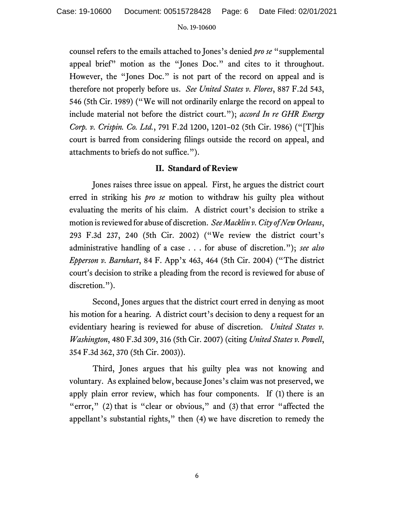counsel refers to the emails attached to Jones's denied *pro se* "supplemental appeal brief" motion as the "Jones Doc." and cites to it throughout. However, the "Jones Doc." is not part of the record on appeal and is therefore not properly before us. *See United States v. Flores*, 887 F.2d 543, 546 (5th Cir. 1989) ("We will not ordinarily enlarge the record on appeal to include material not before the district court."); *accord In re GHR Energy Corp. v. Crispin. Co. Ltd.*, 791 F.2d 1200, 1201–02 (5th Cir. 1986) ("[T]his court is barred from considering filings outside the record on appeal, and attachments to briefs do not suffice.").

## **II. Standard of Review**

Jones raises three issue on appeal. First, he argues the district court erred in striking his *pro se* motion to withdraw his guilty plea without evaluating the merits of his claim. A district court's decision to strike a motion is reviewed for abuse of discretion. *See Macklin v. City of New Orleans*, 293 F.3d 237, 240 (5th Cir. 2002) ("We review the district court's administrative handling of a case . . . for abuse of discretion."); *see also Epperson v. Barnhart*, 84 F. App'x 463, 464 (5th Cir. 2004) ("The district court's decision to strike a pleading from the record is reviewed for abuse of discretion.").

Second, Jones argues that the district court erred in denying as moot his motion for a hearing. A district court's decision to deny a request for an evidentiary hearing is reviewed for abuse of discretion. *United States v. Washington*, 480 F.3d 309, 316 (5th Cir. 2007) (citing *United States v. Powell*, 354 F.3d 362, 370 (5th Cir. 2003)).

Third, Jones argues that his guilty plea was not knowing and voluntary. As explained below, because Jones's claim was not preserved, we apply plain error review, which has four components. If (1) there is an "error," (2) that is "clear or obvious," and (3) that error "affected the appellant's substantial rights," then (4) we have discretion to remedy the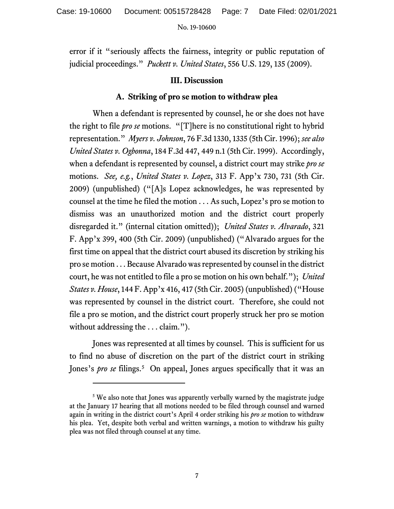error if it "seriously affects the fairness, integrity or public reputation of judicial proceedings." *Puckett v. United States*, 556 U.S. 129, 135 (2009).

## **III. Discussion**

## **A. Striking of pro se motion to withdraw plea**

When a defendant is represented by counsel, he or she does not have the right to file *pro se* motions. "[T]here is no constitutional right to hybrid representation." *Myers v. Johnson*, 76 F.3d 1330, 1335 (5th Cir. 1996); *see also United States v. Ogbonna*, 184 F.3d 447, 449 n.1 (5th Cir. 1999). Accordingly, when a defendant is represented by counsel, a district court may strike *pro se*  motions. *See, e.g.*, *United States v. Lopez*, 313 F. App'x 730, 731 (5th Cir. 2009) (unpublished) ("[A]s Lopez acknowledges, he was represented by counsel at the time he filed the motion . . . As such, Lopez's pro se motion to dismiss was an unauthorized motion and the district court properly disregarded it." (internal citation omitted)); *United States v. Alvarado*, 321 F. App'x 399, 400 (5th Cir. 2009) (unpublished) ("Alvarado argues for the first time on appeal that the district court abused its discretion by striking his pro se motion . . . Because Alvarado was represented by counsel in the district court, he was not entitled to file a pro se motion on his own behalf."); *United States v. House*, 144 F. App'x 416, 417 (5th Cir. 2005) (unpublished) ("House was represented by counsel in the district court. Therefore, she could not file a pro se motion, and the district court properly struck her pro se motion without addressing the . . . claim.").

Jones was represented at all times by counsel. This is sufficient for us to find no abuse of discretion on the part of the district court in striking Jones's *pro se* filings.<sup>[5](#page-6-0)</sup> On appeal, Jones argues specifically that it was an

<span id="page-6-0"></span><sup>&</sup>lt;sup>5</sup> We also note that Jones was apparently verbally warned by the magistrate judge at the January 17 hearing that all motions needed to be filed through counsel and warned again in writing in the district court's April 4 order striking his *pro se* motion to withdraw his plea. Yet, despite both verbal and written warnings, a motion to withdraw his guilty plea was not filed through counsel at any time.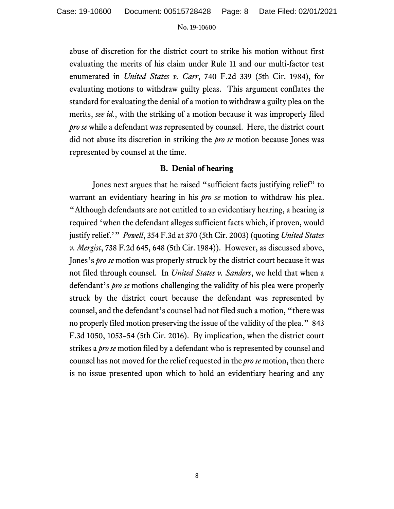abuse of discretion for the district court to strike his motion without first evaluating the merits of his claim under Rule 11 and our multi-factor test enumerated in *United States v. Carr*, 740 F.2d 339 (5th Cir. 1984), for evaluating motions to withdraw guilty pleas. This argument conflates the standard for evaluating the denial of a motion to withdraw a guilty plea on the merits, *see id.*, with the striking of a motion because it was improperly filed *pro se* while a defendant was represented by counsel. Here, the district court did not abuse its discretion in striking the *pro se* motion because Jones was represented by counsel at the time.

# **B. Denial of hearing**

Jones next argues that he raised "sufficient facts justifying relief" to warrant an evidentiary hearing in his *pro se* motion to withdraw his plea. "Although defendants are not entitled to an evidentiary hearing, a hearing is required 'when the defendant alleges sufficient facts which, if proven, would justify relief.'" *Powell*, 354 F.3d at 370 (5th Cir. 2003) (quoting *United States v. Mergist*, 738 F.2d 645, 648 (5th Cir. 1984)). However, as discussed above, Jones's *pro se* motion was properly struck by the district court because it was not filed through counsel. In *United States v. Sanders*, we held that when a defendant's *pro se* motions challenging the validity of his plea were properly struck by the district court because the defendant was represented by counsel, and the defendant's counsel had not filed such a motion, "there was no properly filed motion preserving the issue of the validity of the plea." 843 F.3d 1050, 1053–54 (5th Cir. 2016). By implication, when the district court strikes a *pro se* motion filed by a defendant who is represented by counsel and counsel has not moved for the relief requested in the *pro se* motion, then there is no issue presented upon which to hold an evidentiary hearing and any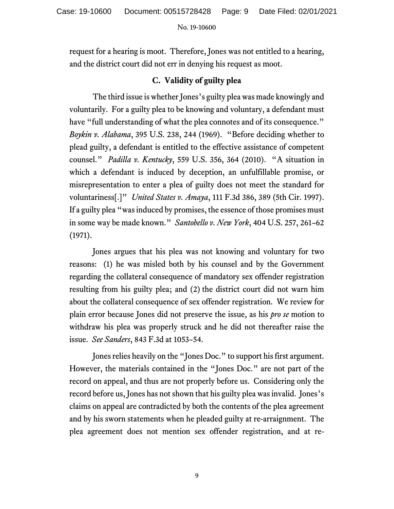request for a hearing is moot. Therefore, Jones was not entitled to a hearing, and the district court did not err in denying his request as moot.

# **C. Validity of guilty plea**

The third issue is whether Jones's guilty plea was made knowingly and voluntarily. For a guilty plea to be knowing and voluntary, a defendant must have "full understanding of what the plea connotes and of its consequence." *Boykin v. Alabama*, 395 U.S. 238, 244 (1969). "Before deciding whether to plead guilty, a defendant is entitled to the effective assistance of competent counsel." *Padilla v. Kentucky*, 559 U.S. 356, 364 (2010). "A situation in which a defendant is induced by deception, an unfulfillable promise, or misrepresentation to enter a plea of guilty does not meet the standard for voluntariness[.]" *United States v. Amaya*, 111 F.3d 386, 389 (5th Cir. 1997). If a guilty plea "was induced by promises, the essence of those promises must in some way be made known." *Santobello v. New York*, 404 U.S. 257, 261–62 (1971).

Jones argues that his plea was not knowing and voluntary for two reasons: (1) he was misled both by his counsel and by the Government regarding the collateral consequence of mandatory sex offender registration resulting from his guilty plea; and (2) the district court did not warn him about the collateral consequence of sex offender registration. We review for plain error because Jones did not preserve the issue, as his *pro se* motion to withdraw his plea was properly struck and he did not thereafter raise the issue. *See Sanders*, 843 F.3d at 1053–54.

Jones relies heavily on the "Jones Doc." to support his first argument. However, the materials contained in the "Jones Doc." are not part of the record on appeal, and thus are not properly before us. Considering only the record before us, Jones has not shown that his guilty plea was invalid. Jones's claims on appeal are contradicted by both the contents of the plea agreement and by his sworn statements when he pleaded guilty at re-arraignment. The plea agreement does not mention sex offender registration, and at re-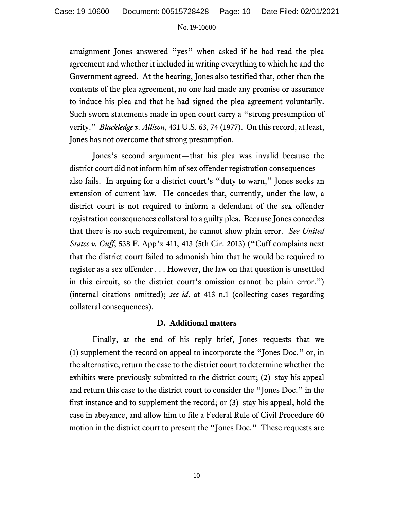arraignment Jones answered "yes" when asked if he had read the plea agreement and whether it included in writing everything to which he and the Government agreed. At the hearing, Jones also testified that, other than the contents of the plea agreement, no one had made any promise or assurance to induce his plea and that he had signed the plea agreement voluntarily. Such sworn statements made in open court carry a "strong presumption of verity." *Blackledge v. Allison*, 431 U.S. 63, 74 (1977). On this record, at least, Jones has not overcome that strong presumption.

Jones's second argument—that his plea was invalid because the district court did not inform him of sex offender registration consequences also fails. In arguing for a district court's "duty to warn," Jones seeks an extension of current law. He concedes that, currently, under the law, a district court is not required to inform a defendant of the sex offender registration consequences collateral to a guilty plea. Because Jones concedes that there is no such requirement, he cannot show plain error. *See United States v. Cuff*, 538 F. App'x 411, 413 (5th Cir. 2013) ("Cuff complains next that the district court failed to admonish him that he would be required to register as a sex offender . . . However, the law on that question is unsettled in this circuit, so the district court's omission cannot be plain error.") (internal citations omitted); *see id*. at 413 n.1 (collecting cases regarding collateral consequences).

## **D. Additional matters**

Finally, at the end of his reply brief, Jones requests that we (1) supplement the record on appeal to incorporate the "Jones Doc." or, in the alternative, return the case to the district court to determine whether the exhibits were previously submitted to the district court; (2) stay his appeal and return this case to the district court to consider the "Jones Doc." in the first instance and to supplement the record; or (3) stay his appeal, hold the case in abeyance, and allow him to file a Federal Rule of Civil Procedure 60 motion in the district court to present the "Jones Doc." These requests are